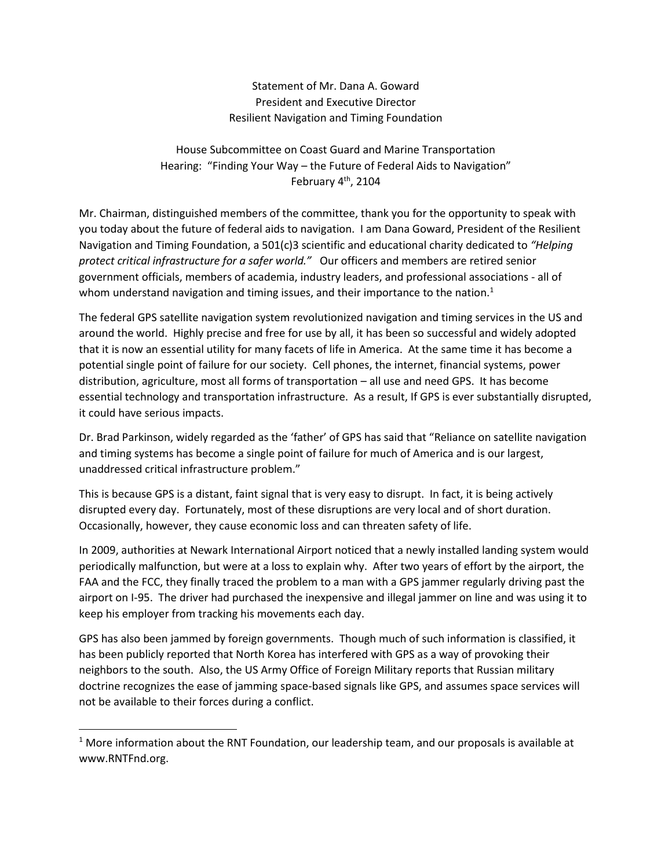## Statement of Mr. Dana A. Goward President and Executive Director Resilient Navigation and Timing Foundation

House Subcommittee on Coast Guard and Marine Transportation Hearing: "Finding Your Way – the Future of Federal Aids to Navigation" February 4<sup>th</sup>, 2104

Mr. Chairman, distinguished members of the committee, thank you for the opportunity to speak with you today about the future of federal aids to navigation. I am Dana Goward, President of the Resilient Navigation and Timing Foundation, a 501(c)3 scientific and educational charity dedicated to *"Helping protect critical infrastructure for a safer world."* Our officers and members are retired senior government officials, members of academia, industry leaders, and professional associations - all of whom understand navigation and timing issues, and their importance to the nation.<sup>1</sup>

The federal GPS satellite navigation system revolutionized navigation and timing services in the US and around the world. Highly precise and free for use by all, it has been so successful and widely adopted that it is now an essential utility for many facets of life in America. At the same time it has become a potential single point of failure for our society. Cell phones, the internet, financial systems, power distribution, agriculture, most all forms of transportation – all use and need GPS. It has become essential technology and transportation infrastructure. As a result, If GPS is ever substantially disrupted, it could have serious impacts.

Dr. Brad Parkinson, widely regarded as the 'father' of GPS has said that "Reliance on satellite navigation and timing systems has become a single point of failure for much of America and is our largest, unaddressed critical infrastructure problem."

This is because GPS is a distant, faint signal that is very easy to disrupt. In fact, it is being actively disrupted every day. Fortunately, most of these disruptions are very local and of short duration. Occasionally, however, they cause economic loss and can threaten safety of life.

In 2009, authorities at Newark International Airport noticed that a newly installed landing system would periodically malfunction, but were at a loss to explain why. After two years of effort by the airport, the FAA and the FCC, they finally traced the problem to a man with a GPS jammer regularly driving past the airport on I-95. The driver had purchased the inexpensive and illegal jammer on line and was using it to keep his employer from tracking his movements each day.

GPS has also been jammed by foreign governments. Though much of such information is classified, it has been publicly reported that North Korea has interfered with GPS as a way of provoking their neighbors to the south. Also, the US Army Office of Foreign Military reports that Russian military doctrine recognizes the ease of jamming space-based signals like GPS, and assumes space services will not be available to their forces during a conflict.

 $\overline{a}$ 

 $1$  More information about the RNT Foundation, our leadership team, and our proposals is available at www.RNTFnd.org.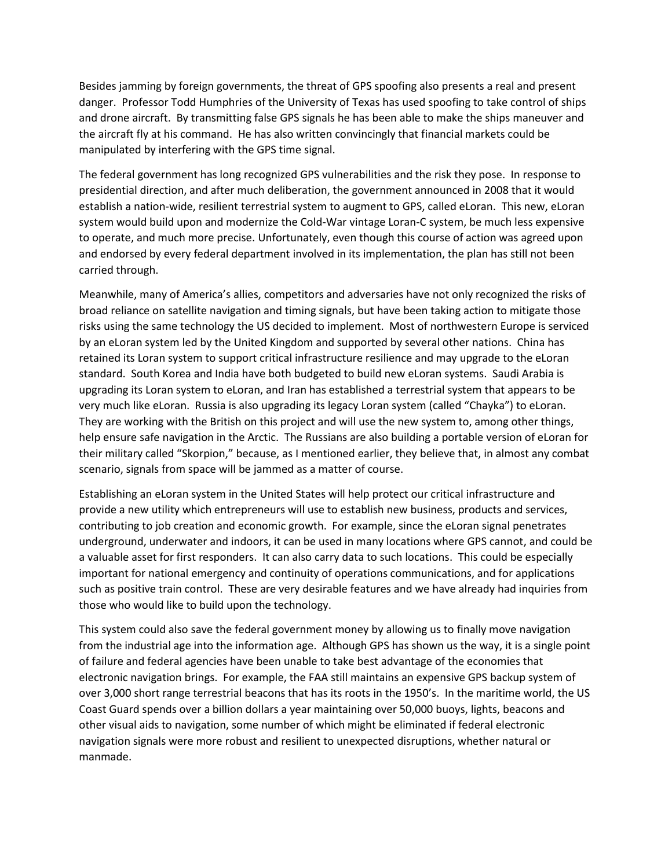Besides jamming by foreign governments, the threat of GPS spoofing also presents a real and present danger. Professor Todd Humphries of the University of Texas has used spoofing to take control of ships and drone aircraft. By transmitting false GPS signals he has been able to make the ships maneuver and the aircraft fly at his command. He has also written convincingly that financial markets could be manipulated by interfering with the GPS time signal.

The federal government has long recognized GPS vulnerabilities and the risk they pose. In response to presidential direction, and after much deliberation, the government announced in 2008 that it would establish a nation-wide, resilient terrestrial system to augment to GPS, called eLoran. This new, eLoran system would build upon and modernize the Cold-War vintage Loran-C system, be much less expensive to operate, and much more precise. Unfortunately, even though this course of action was agreed upon and endorsed by every federal department involved in its implementation, the plan has still not been carried through.

Meanwhile, many of America's allies, competitors and adversaries have not only recognized the risks of broad reliance on satellite navigation and timing signals, but have been taking action to mitigate those risks using the same technology the US decided to implement. Most of northwestern Europe is serviced by an eLoran system led by the United Kingdom and supported by several other nations. China has retained its Loran system to support critical infrastructure resilience and may upgrade to the eLoran standard. South Korea and India have both budgeted to build new eLoran systems. Saudi Arabia is upgrading its Loran system to eLoran, and Iran has established a terrestrial system that appears to be very much like eLoran. Russia is also upgrading its legacy Loran system (called "Chayka") to eLoran. They are working with the British on this project and will use the new system to, among other things, help ensure safe navigation in the Arctic. The Russians are also building a portable version of eLoran for their military called "Skorpion," because, as I mentioned earlier, they believe that, in almost any combat scenario, signals from space will be jammed as a matter of course.

Establishing an eLoran system in the United States will help protect our critical infrastructure and provide a new utility which entrepreneurs will use to establish new business, products and services, contributing to job creation and economic growth. For example, since the eLoran signal penetrates underground, underwater and indoors, it can be used in many locations where GPS cannot, and could be a valuable asset for first responders. It can also carry data to such locations. This could be especially important for national emergency and continuity of operations communications, and for applications such as positive train control. These are very desirable features and we have already had inquiries from those who would like to build upon the technology.

This system could also save the federal government money by allowing us to finally move navigation from the industrial age into the information age. Although GPS has shown us the way, it is a single point of failure and federal agencies have been unable to take best advantage of the economies that electronic navigation brings. For example, the FAA still maintains an expensive GPS backup system of over 3,000 short range terrestrial beacons that has its roots in the 1950's. In the maritime world, the US Coast Guard spends over a billion dollars a year maintaining over 50,000 buoys, lights, beacons and other visual aids to navigation, some number of which might be eliminated if federal electronic navigation signals were more robust and resilient to unexpected disruptions, whether natural or manmade.